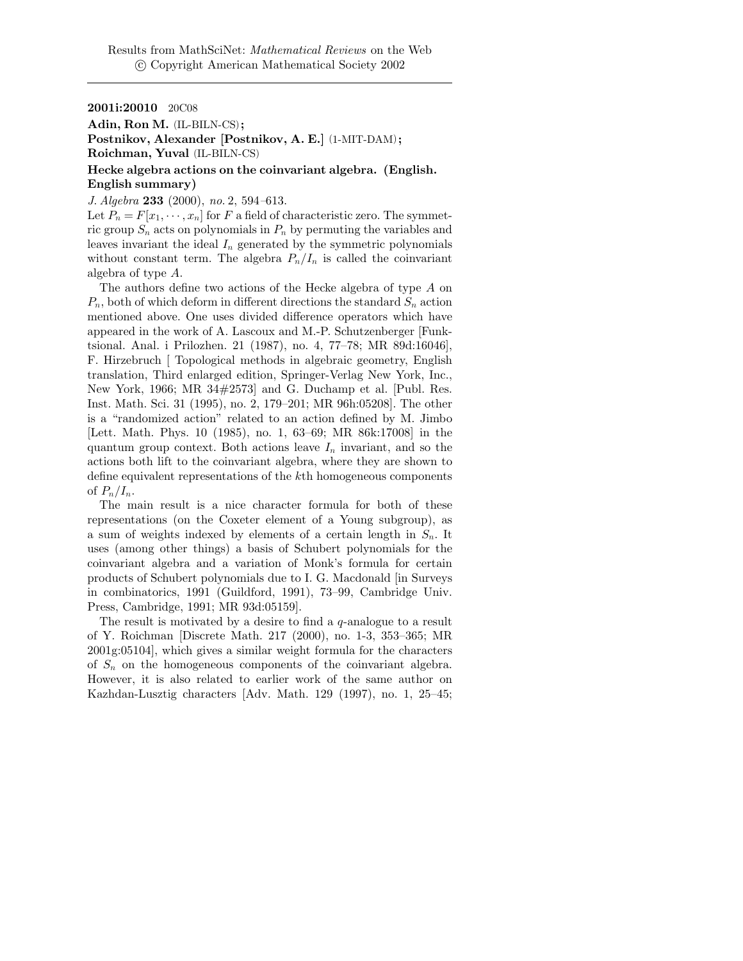2001i:20010 20C08

Adin, Ron M. (IL-BILN-CS); Postnikov, Alexander [Postnikov, A. E.] (1-MIT-DAM); Roichman, Yuval (IL-BILN-CS)

## Hecke algebra actions on the coinvariant algebra. (English. English summary)

J. Algebra 233 (2000), no. 2, 594–613.

Let  $P_n = F[x_1, \dots, x_n]$  for F a field of characteristic zero. The symmetric group  $S_n$  acts on polynomials in  $P_n$  by permuting the variables and leaves invariant the ideal  $I_n$  generated by the symmetric polynomials without constant term. The algebra  $P_n/I_n$  is called the coinvariant algebra of type A.

The authors define two actions of the Hecke algebra of type A on  $P_n$ , both of which deform in different directions the standard  $S_n$  action mentioned above. One uses divided difference operators which have appeared in the work of A. Lascoux and M.-P. Schutzenberger [Funktsional. Anal. i Prilozhen. 21 (1987), no. 4, 77–78; MR 89d:16046], F. Hirzebruch [ Topological methods in algebraic geometry, English translation, Third enlarged edition, Springer-Verlag New York, Inc., New York, 1966; MR 34#2573] and G. Duchamp et al. [Publ. Res. Inst. Math. Sci. 31 (1995), no. 2, 179–201; MR 96h:05208]. The other is a "randomized action" related to an action defined by M. Jimbo [Lett. Math. Phys. 10 (1985), no. 1, 63–69; MR 86k:17008] in the quantum group context. Both actions leave  $I_n$  invariant, and so the actions both lift to the coinvariant algebra, where they are shown to define equivalent representations of the kth homogeneous components of  $P_n/I_n$ .

The main result is a nice character formula for both of these representations (on the Coxeter element of a Young subgroup), as a sum of weights indexed by elements of a certain length in  $S_n$ . It uses (among other things) a basis of Schubert polynomials for the coinvariant algebra and a variation of Monk's formula for certain products of Schubert polynomials due to I. G. Macdonald [in Surveys in combinatorics, 1991 (Guildford, 1991), 73–99, Cambridge Univ. Press, Cambridge, 1991; MR 93d:05159].

The result is motivated by a desire to find a  $q$ -analogue to a result of Y. Roichman [Discrete Math. 217 (2000), no. 1-3, 353–365; MR 2001g:05104], which gives a similar weight formula for the characters of  $S_n$  on the homogeneous components of the coinvariant algebra. However, it is also related to earlier work of the same author on Kazhdan-Lusztig characters [Adv. Math. 129 (1997), no. 1, 25–45;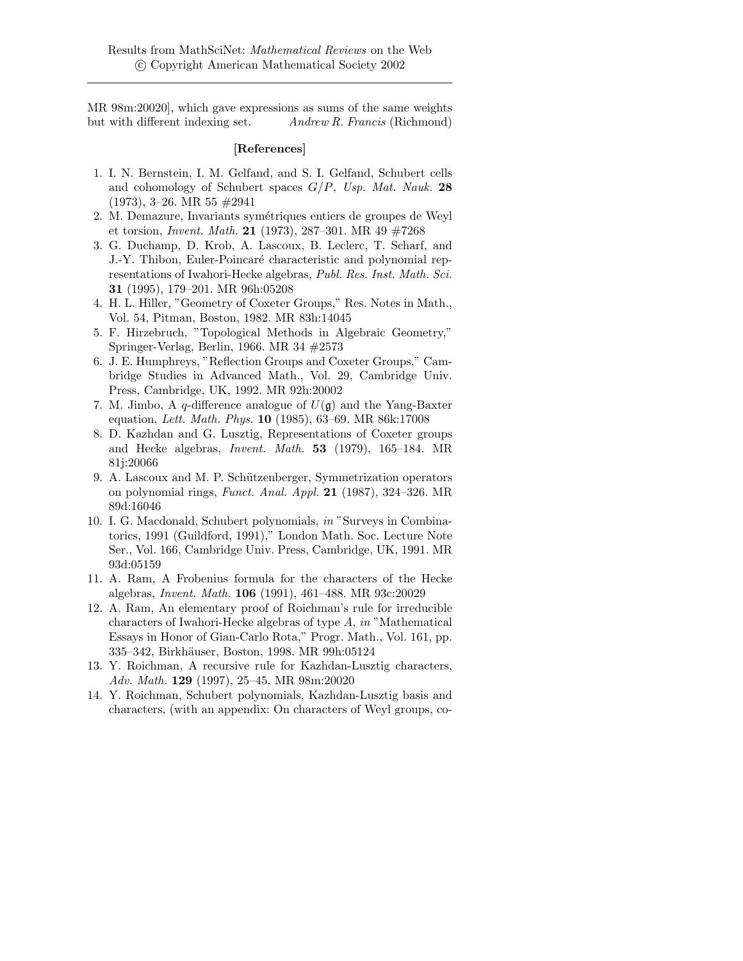MR 98m:20020], which gave expressions as sums of the same weights but with different indexing set. Andrew R. Francis (Richmond)

## [References]

- 1. I. N. Bernstein, I. M. Gelfand, and S. I. Gelfand, Schubert cells and cohomology of Schubert spaces  $G/P$ , Usp. Mat. Nauk. 28  $(1973), 3-26. \text{ MR } 55 \neq 2941$
- 2. M. Demazure, Invariants symétriques entiers de groupes de Weyl et torsion, *Invent. Math.* 21 (1973), 287–301. MR 49  $\#7268$
- 3. G. Duchamp, D. Krob, A. Lascoux, B. Leclerc, T. Scharf, and J.-Y. Thibon, Euler-Poincaré characteristic and polynomial representations of Iwahori-Hecke algebras, Publ. Res. Inst. Math. Sci. 31 (1995), 179–201. MR 96h:05208
- 4. H. L. Hiller, "Geometry of Coxeter Groups," Res. Notes in Math., Vol. 54, Pitman, Boston, 1982. MR 83h:14045
- 5. F. Hirzebruch, "Topological Methods in Algebraic Geometry," Springer-Verlag, Berlin, 1966. MR 34 #2573
- 6. J. E. Humphreys, "Reflection Groups and Coxeter Groups," Cambridge Studies in Advanced Math., Vol. 29, Cambridge Univ. Press, Cambridge, UK, 1992. MR 92h:20002
- 7. M. Jimbo, A q-difference analogue of  $U(\mathfrak{g})$  and the Yang-Baxter equation, Lett. Math. Phys. 10 (1985), 63–69. MR 86k:17008
- 8. D. Kazhdan and G. Lusztig, Representations of Coxeter groups and Hecke algebras, Invent. Math. 53 (1979), 165–184. MR 81j:20066
- 9. A. Lascoux and M. P. Schützenberger, Symmetrization operators on polynomial rings, Funct. Anal. Appl. 21 (1987), 324–326. MR 89d:16046
- 10. I. G. Macdonald, Schubert polynomials, in "Surveys in Combinatorics, 1991 (Guildford, 1991)," London Math. Soc. Lecture Note Ser., Vol. 166, Cambridge Univ. Press, Cambridge, UK, 1991. MR 93d:05159
- 11. A. Ram, A Frobenius formula for the characters of the Hecke algebras, Invent. Math. 106 (1991), 461–488. MR 93c:20029
- 12. A. Ram, An elementary proof of Roichman's rule for irreducible characters of Iwahori-Hecke algebras of type A, in "Mathematical Essays in Honor of Gian-Carlo Rota," Progr. Math., Vol. 161, pp. 335–342, Birkh¨auser, Boston, 1998. MR 99h:05124
- 13. Y. Roichman, A recursive rule for Kazhdan-Lusztig characters, Adv. Math. 129 (1997), 25–45. MR 98m:20020
- 14. Y. Roichman, Schubert polynomials, Kazhdan-Lusztig basis and characters, (with an appendix: On characters of Weyl groups, co-